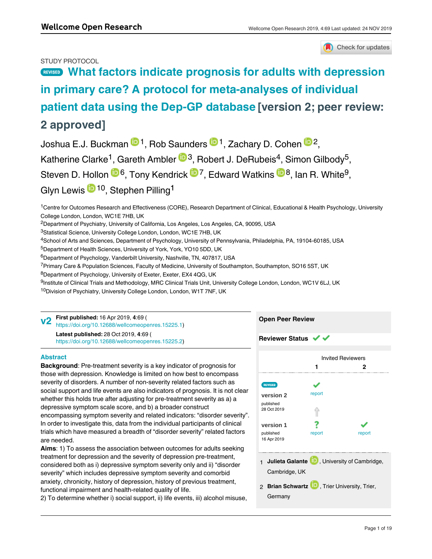# STUDY PROTOCOL



# **[What factors indicate prognosis for adults with depression](https://wellcomeopenresearch.org/articles/4-69/v2) [in primary care? A protocol for meta-analyses of individual](https://wellcomeopenresearch.org/articles/4-69/v2) [patient data using the Dep-GP database](https://wellcomeopenresearch.org/articles/4-69/v2) [version 2; peer review: 2 approved]**

Joshua E.J. Buckman <sup>101</sup>, Rob Saunders <sup>101</sup>, Zachary D. Cohen <sup>102</sup>, Katherine Clarke<sup>1</sup>, Gareth Ambler <sup>193</sup>, Robert J. DeRubeis<sup>4</sup>, Simon Gilbody<sup>5</sup>, Steven D. Hollon <sup>106</sup>, Tony Kendrick <sup>107</sup>, Edward Watkins <sup>108</sup>, Ian R. White<sup>9</sup>, Glyn Lewis <sup>in 10</sup>, Stephen Pilling<sup>1</sup>

<sup>1</sup>Centre for Outcomes Research and Effectiveness (CORE), Research Department of Clinical, Educational & Health Psychology, University College London, London, WC1E 7HB, UK

<sup>2</sup>Department of Psychiatry, University of California, Los Angeles, Los Angeles, CA, 90095, USA

<sup>3</sup>Statistical Science, University College London, London, WC1E 7HB, UK

<sup>4</sup>School of Arts and Sciences, Department of Psychology, University of Pennsylvania, Philadelphia, PA, 19104-60185, USA

<sup>5</sup>Department of Health Sciences, University of York, York, YO10 5DD, UK

 $^6$ Department of Psychology, Vanderbilt University, Nashville, TN, 407817, USA

<sup>7</sup> Primary Care & Population Sciences, Faculty of Medicine, University of Southampton, Southampton, SO16 5ST, UK

<sup>8</sup>Department of Psychology, University of Exeter, Exeter, EX4 4QG, UK

<sup>9</sup>Institute of Clinical Trials and Methodology, MRC Clinical Trials Unit, University College London, London, WC1V 6LJ, UK

<sup>10</sup>Division of Psychiatry, University College London, London, W1T 7NF, UK

**First published:** 16 Apr 2019, **4**:69 ( **v2** First published: 16 Apr 2019, 4:69 (<br>[https://doi.org/10.12688/wellcomeopenres.15225.1\)](https://doi.org/10.12688/wellcomeopenres.15225.1)

**Latest published:** 28 Oct 2019, **4**:69 ( [https://doi.org/10.12688/wellcomeopenres.15225.2\)](https://doi.org/10.12688/wellcomeopenres.15225.2)

# **Abstract**

**Background**: Pre-treatment severity is a key indicator of prognosis for those with depression. Knowledge is limited on how best to encompass severity of disorders. A number of non-severity related factors such as social support and life events are also indicators of prognosis. It is not clear whether this holds true after adjusting for pre-treatment severity as a) a depressive symptom scale score, and b) a broader construct encompassing symptom severity and related indicators: "disorder severity". In order to investigate this, data from the individual participants of clinical trials which have measured a breadth of "disorder severity" related factors are needed.

**Aims**: 1) To assess the association between outcomes for adults seeking treatment for depression and the severity of depression pre-treatment, considered both as i) depressive symptom severity only and ii) "disorder severity" which includes depressive symptom severity and comorbid anxiety, chronicity, history of depression, history of previous treatment, functional impairment and health-related quality of life.

2) To determine whether i) social support, ii) life events, iii) alcohol misuse, and iv) demographic factors (sex, age, ethnicity, marital status, employment

# Invited Reviewers **1 2** ✓ Ļ, report **[version 2](https://wellcomeopenresearch.org/articles/4-69/v2)** published 28 Oct 2019 ⇑ ? **[version 1](https://wellcomeopenresearch.org/articles/4-69/v1)** published report report 16 Apr 2019 1 **Julieta Galante UP**, University of Cambridge, Cambridge, UK 2 **Brian Schwartz UV**, Trier University, Trier, Germany

**Open Peer Review**

**Reviewer Status ↓**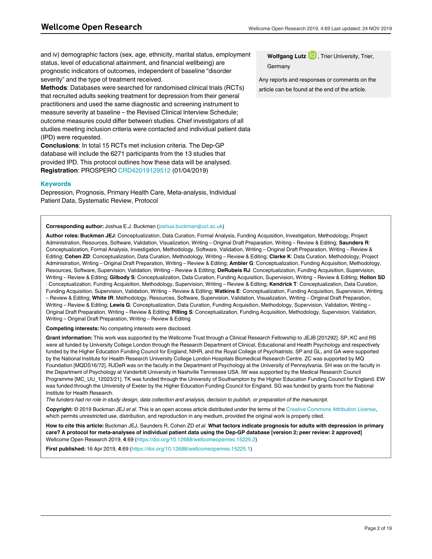and iv) demographic factors (sex, age, ethnicity, marital status, employment status, level of educational attainment, and financial wellbeing) are prognostic indicators of outcomes, independent of baseline "disorder severity" and the type of treatment received.

**Methods**: Databases were searched for randomised clinical trials (RCTs) that recruited adults seeking treatment for depression from their general practitioners and used the same diagnostic and screening instrument to measure severity at baseline – the Revised Clinical Interview Schedule; outcome measures could differ between studies. Chief investigators of all studies meeting inclusion criteria were contacted and individual patient data (IPD) were requested.

**Conclusions**: In total 15 RCTs met inclusion criteria. The Dep-GP database will include the 6271 participants from the 13 studies that provided IPD. This protocol outlines how these data will be analysed. **Registration**: PROSPERO [CRD42019129512](https://protect-eu.mimecast.com/s/CHQTCk9wuwQ5Eu2T6Af) (01/04/2019)

### **Keywords**

Depression, Prognosis, Primary Health Care, Meta-analysis, Individual Patient Data, Systematic Review, Protocol

#### **Corresponding author:** Joshua E.J. Buckman (joshua.buckman@ucl.ac.uk)

**Author roles: Buckman JEJ**: Conceptualization, Data Curation, Formal Analysis, Funding Acquisition, Investigation, Methodology, Project Administration, Resources, Software, Validation, Visualization, Writing – Original Draft Preparation, Writing – Review & Editing; **Saunders R**: Conceptualization, Formal Analysis, Investigation, Methodology, Software, Validation, Writing – Original Draft Preparation, Writing – Review & Editing; **Cohen ZD**: Conceptualization, Data Curation, Methodology, Writing – Review & Editing; **Clarke K**: Data Curation, Methodology, Project Administration, Writing – Original Draft Preparation, Writing – Review & Editing; **Ambler G**: Conceptualization, Funding Acquisition, Methodology, Resources, Software, Supervision, Validation, Writing – Review & Editing; **DeRubeis RJ**: Conceptualization, Funding Acquisition, Supervision, Writing – Review & Editing; **Gilbody S**: Conceptualization, Data Curation, Funding Acquisition, Supervision, Writing – Review & Editing; **Hollon SD** : Conceptualization, Funding Acquisition, Methodology, Supervision, Writing – Review & Editing; **Kendrick T**: Conceptualization, Data Curation, Funding Acquisition, Supervision, Validation, Writing – Review & Editing; **Watkins E**: Conceptualization, Funding Acquisition, Supervision, Writing – Review & Editing; **White IR**: Methodology, Resources, Software, Supervision, Validation, Visualization, Writing – Original Draft Preparation, Writing – Review & Editing; **Lewis G**: Conceptualization, Data Curation, Funding Acquisition, Methodology, Supervision, Validation, Writing – Original Draft Preparation, Writing – Review & Editing; **Pilling S**: Conceptualization, Funding Acquisition, Methodology, Supervision, Validation, Writing – Original Draft Preparation, Writing – Review & Editing

**Competing interests:** No competing interests were disclosed.

**Grant information:** This work was supported by the Wellcome Trust through a Clinical Research Fellowship to JEJB [201292]. SP, KC and RS were all funded by University College London through the Research Department of Clinical, Educational and Health Psychology and respectively funded by the Higher Education Funding Council for England, NIHR, and the Royal College of Psychiatrists. SP and GL, and GA were supported by the National Institute for Health Research University College London Hospitals Biomedical Research Centre. ZC was supported by MQ Foundation [MQDS16/72]. RJDeR was on the faculty in the Department of Psychology at the University of Pennsylvania. SH was on the faculty in the Department of Psychology at Vanderbilt University in Nashville Tennessee USA. IW was supported by the Medical Research Council Programme [MC\_UU\_12023/21]. TK was funded through the University of Southampton by the Higher Education Funding Council for England. EW was funded through the University of Exeter by the Higher Education Funding Council for England. SG was funded by grants from the National Institute for Health Research.

*The funders had no role in study design, data collection and analysis, decision to publish, or preparation of the manuscript.*

**Copyright:** © 2019 Buckman JEJ *et al*. This is an open access article distributed under the terms of the [Creative Commons Attribution License,](http://creativecommons.org/licenses/by/4.0/) which permits unrestricted use, distribution, and reproduction in any medium, provided the original work is properly cited.

**How to cite this article:** Buckman JEJ, Saunders R, Cohen ZD *et al.* **What factors indicate prognosis for adults with depression in primary care? A protocol for meta-analyses of individual patient data using the Dep-GP database [version 2; peer review: 2 approved]** Wellcome Open Research 2019, **4**:69 (<https://doi.org/10.12688/wellcomeopenres.15225.2>)

**First published:** 16 Apr 2019, **4**:69 ([https://doi.org/10.12688/wellcomeopenres.15225.1\)](https://doi.org/10.12688/wellcomeopenres.15225.1)

**Wolfgang Lutz <b>D**, Trier University, Trier, Germany

Any reports and responses or comments on the article can be found at the end of the article.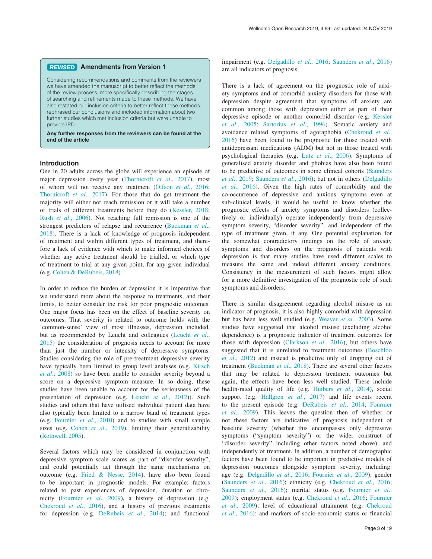#### **Amendments from Version 1** *REVISED*

Considering recommendations and comments from the reviewers we have amended the manuscript to better reflect the methods of the review process, more specifically describing the stages of searching and refinements made to these methods. We have also restated our inclusion criteria to better reflect these methods, rephrased our conclusions and included information about two further studies which met inclusion criteria but were unable to provide IPD.

**Any further responses from the reviewers can be found at the end of the article**

#### **Introduction**

One in 20 adults across the globe will experience an episode of major depression every year ([Thornicroft](#page-12-0) *et al*., 2017), most of whom will not receive any treatment (Olfson *et al*[., 2016](#page-12-0); [Thornicroft](#page-12-0) *et al*., 2017). For those that do get treatment the majority will either not reach remission or it will take a number of trials of different treatments before they do [\(Kessler, 2018](#page-11-0); Rush *et al*[., 2006](#page-12-0)). Not reaching full remission is one of the strongest predictors of relapse and recurrence ([Buckman](#page-11-0) *et al*., [2018\)](#page-11-0). There is a lack of knowledge of prognosis independent of treatment and within different types of treatment, and therefore a lack of evidence with which to make informed choices of whether any active treatment should be trialled, or which type of treatment to trial at any given point, for any given individual (e.g. [Cohen & DeRubeis, 2018\)](#page-11-0).

In order to reduce the burden of depression it is imperative that we understand more about the response to treatments, and their limits, to better consider the risk for poor prognostic outcomes. One major focus has been on the effect of baseline severity on outcomes. That severity is related to outcome holds with the 'common-sense' view of most illnesses, depression included, but as recommended by Leucht and colleagues ([Leucht](#page-11-0) *et al*., [2015\)](#page-11-0) the consideration of prognosis needs to account for more than just the number or intensity of depressive symptoms. Studies considering the role of pre-treatment depressive severity have typically been limited to group level analyses (e.g. [Kirsch](#page-11-0)  *et al*[., 2008](#page-11-0)) so have been unable to consider severity beyond a score on a depressive symptom measure. In so doing, these studies have been unable to account for the seriousness of the presentation of depression (e.g. Leucht *et al*[., 2012](#page-11-0))). Such studies and others that have utilised individual patient data have also typically been limited to a narrow band of treatment types (e.g. [Fournier](#page-11-0) *et al*., 2010) and to studies with small sample sizes (e.g. Cohen *et al*[., 2019\)](#page-11-0), limiting their generalizability ([Rothwell, 2005](#page-12-0)).

Several factors which may be considered in conjunction with depressive symptom scale scores as part of "disorder severity", and could potentially act through the same mechanisms on outcome (e.g. [Fried & Nesse, 2014](#page-11-0)), have also been found to be important in prognostic models. For example: factors related to past experiences of depression, duration or chronicity [\(Fournier](#page-11-0) *et al*., 2009), a history of depression (e.g. [Chekroud](#page-11-0) *et al*., 2016), and a history of previous treatments for depression (e.g. [DeRubeis](#page-11-0) *et al*., 2014); and functional impairment (e.g. [Delgadillo](#page-11-0) *et al*., 2016; [Saunders](#page-12-0) *et al*., 2016) are all indicators of prognosis.

There is a lack of agreement on the prognostic role of anxiety symptoms and of comorbid anxiety disorders for those with depression despite agreement that symptoms of anxiety are common among those with depression either as part of their depressive episode or another comorbid disorder (e.g. [Kessler](#page-11-0)  *et al*[., 2005;](#page-11-0) [Sartorius](#page-12-0) *et al*., 1996). Somatic anxiety and avoidance related symptoms of agoraphobia [\(Chekroud](#page-11-0) *et al*., [2016\)](#page-11-0) have been found to be prognostic for those treated with antidepressant medications (ADM) but not in those treated with psychological therapies (e.g. Lutz *et al*[., 2006\)](#page-11-0). Symptoms of generalised anxiety disorder and phobias have also been found to be predictive of outcomes in some clinical cohorts ([Saunders](#page-12-0)  *et al*[., 2019; Saunders](#page-12-0) *et al*., 2016); but not in others ([Delgadillo](#page-11-0)  *et al*[., 2016](#page-11-0)). Given the high rates of comorbidity and the co-occurrence of depressive and anxious symptoms even at sub-clinical levels, it would be useful to know whether the prognostic effects of anxiety symptoms and disorders (collectively or individually) operate independently from depressive symptom severity, "disorder severity", and independent of the type of treatment given, if any. One potential explanation for the somewhat contradictory findings on the role of anxiety symptoms and disorders on the prognosis of patients with depression is that many studies have used different scales to measure the same and indeed different anxiety conditions. Consistency in the measurement of such factors might allow for a more definitive investigation of the prognostic role of such symptoms and disorders.

There is similar disagreement regarding alcohol misuse as an indicator of prognosis, it is also highly comorbid with depression but has been less well studied (e.g. [Weaver](#page-12-0) *et al*., 2003). Some studies have suggested that alcohol misuse (excluding alcohol dependence) is a prognostic indicator of treatment outcomes for those with depression ([Clarkson](#page-11-0) *et al*., 2016), but others have suggested that it is unrelated to treatment outcomes ([Boschloo](#page-11-0)  *et al*[., 2012](#page-11-0)) and instead is predictive only of dropping out of treatment ([Buckman](#page-11-0) *et al*., 2018). There are several other factors that may be related to depression treatment outcomes but again, the effects have been less well studied. These include health-rated quality of life (e.g. [Huibers](#page-11-0) *et al*., 2014), social support (e.g. [Hallgren](#page-11-0) *et al*., 2017) and life events recent to the present episode (e.g. DeRubeis *et al*[., 2014; Fournier](#page-11-0)  *et al*[., 2009\)](#page-11-0). This leaves the question then of whether or not these factors are indicative of prognosis independent of baseline severity (whether this encompasses only depressive symptoms ("symptom severity") or the wider construct of "disorder severity" including other factors noted above), and independently of treatment. In addition, a number of demographic factors have been found to be important in predictive models of depression outcomes alongside symptom severity, including: age (e.g. Delgadillo *et al*[., 2016; Fournier](#page-11-0) *et al*., 2009); gender ([Saunders](#page-11-0) *et al*., 2016); ethnicity (e.g. [Chekroud](#page-11-0) *et al*., 2016; [Saunders](#page-11-0) *et al*., 2016); marital status (e.g. [Fournier](#page-11-0) *et al*., [2009\)](#page-11-0); employment status (e.g. [Chekroud](#page-11-0) *et al*., 2016; [Fournier](#page-11-0)  *et al*[., 2009\)](#page-11-0); level of educational attainment (e.g. [Chekroud](#page-11-0)  *et al*[., 2016](#page-11-0)); and markers of socio-economic status or financial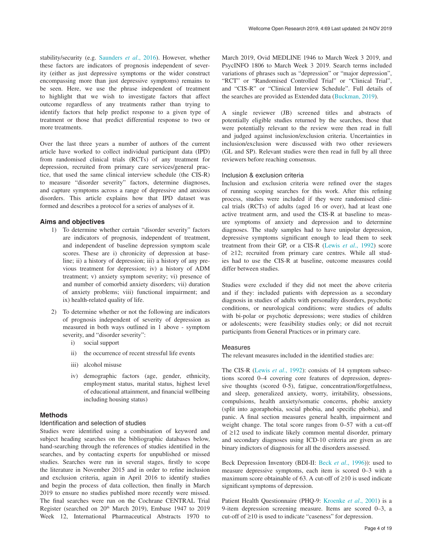stability/security (e.g. [Saunders](#page-12-0) *et al*., 2016). However, whether these factors are indicators of prognosis independent of severity (either as just depressive symptoms or the wider construct encompassing more than just depressive symptoms) remains to be seen. Here, we use the phrase independent of treatment to highlight that we wish to investigate factors that affect outcome regardless of any treatments rather than trying to identify factors that help predict response to a given type of treatment or those that predict differential response to two or more treatments.

Over the last three years a number of authors of the current article have worked to collect individual participant data (IPD) from randomised clinical trials (RCTs) of any treatment for depression, recruited from primary care services/general practice, that used the same clinical interview schedule (the CIS-R) to measure "disorder severity" factors, determine diagnoses, and capture symptoms across a range of depressive and anxious disorders. This article explains how that IPD dataset was formed and describes a protocol for a series of analyses of it.

#### **Aims and objectives**

- 1) To determine whether certain "disorder severity" factors are indicators of prognosis, independent of treatment, and independent of baseline depression symptom scale scores. These are i) chronicity of depression at baseline; ii) a history of depression; iii) a history of any previous treatment for depression; iv) a history of ADM treatment; v) anxiety symptom severity; vi) presence of and number of comorbid anxiety disorders; vii) duration of anxiety problems; viii) functional impairment; and ix) health-related quality of life.
- 2) To determine whether or not the following are indicators of prognosis independent of severity of depression as measured in both ways outlined in 1 above - symptom severity, and "disorder severity":
	- i) social support
	- ii) the occurrence of recent stressful life events
	- iii) alcohol misuse
	- iv) demographic factors (age, gender, ethnicity, employment status, marital status, highest level of educational attainment, and financial wellbeing including housing status)

#### **Methods**

## Identification and selection of studies

Studies were identified using a combination of keyword and subject heading searches on the bibliographic databases below, hand-searching through the references of studies identified in the searches, and by contacting experts for unpublished or missed studies. Searches were run in several stages, firstly to scope the literature in November 2015 and in order to refine inclusion and exclusion criteria, again in April 2016 to identify studies and begin the process of data collection, then finally in March 2019 to ensure no studies published more recently were missed. The final searches were run on the Cochrane CENTRAL Trial Register (searched on 20th March 2019), Embase 1947 to 2019 Week 12, International Pharmaceutical Abstracts 1970 to

March 2019, Ovid MEDLINE 1946 to March Week 3 2019, and PsycINFO 1806 to March Week 3 2019. Search terms included variations of phrases such as "depression" or "major depression", "RCT" or "Randomised Controlled Trial" or "Clinical Trial", and "CIS-R" or "Clinical Interview Schedule". Full details of the searches are provided as Extended data [\(Buckman, 2019](#page-11-0)).

A single reviewer (JB) screened titles and abstracts of potentially eligible studies returned by the searches, those that were potentially relevant to the review were then read in full and judged against inclusion/exclusion criteria. Uncertainties in inclusion/exclusion were discussed with two other reviewers (GL and SP). Relevant studies were then read in full by all three reviewers before reaching consensus.

#### Inclusion & exclusion criteria

Inclusion and exclusion criteria were refined over the stages of running scoping searches for this work. After this refining process, studies were included if they were randomised clinical trials (RCTs) of adults (aged 16 or over), had at least one active treatment arm, and used the CIS-R at baseline to measure symptoms of anxiety and depression and to determine diagnoses. The study samples had to have unipolar depression, depressive symptoms significant enough to lead them to seek treatment from their GP, or a CIS-R (Lewis *et al*[., 1992\)](#page-11-0) score of ≥12; recruited from primary care centres. While all studies had to use the CIS-R at baseline, outcome measures could differ between studies.

Studies were excluded if they did not meet the above criteria and if they: included patients with depression as a secondary diagnosis in studies of adults with personality disorders, psychotic conditions, or neurological conditions; were studies of adults with bi-polar or psychotic depressions; were studies of children or adolescents; were feasibility studies only; or did not recruit participants from General Practices or in primary care.

#### Measures

The relevant measures included in the identified studies are:

The CIS-R (Lewis *et al*[., 1992\)](#page-11-0): consists of 14 symptom subsections scored 0–4 covering core features of depression, depressive thoughts (scored 0-5), fatigue, concentration/forgetfulness, and sleep, generalized anxiety, worry, irritability, obsessions, compulsions, health anxiety/somatic concerns, phobic anxiety (split into agoraphobia, social phobia, and specific phobia), and panic. A final section measures general health, impairment and weight change. The total score ranges from 0–57 with a cut-off of ≥12 used to indicate likely common mental disorder, primary and secondary diagnoses using ICD-10 criteria are given as are binary indictors of diagnosis for all the disorders assessed.

Beck Depression Inventory (BDI-II: Beck *et al*[., 1996\)](#page-11-0)): used to measure depressive symptoms, each item is scored 0–3 with a maximum score obtainable of 63. A cut-off of ≥10 is used indicate significant symptoms of depression.

Patient Health Questionnaire (PHQ-9: [Kroenke](#page-11-0) *et al*., 2001) is a 9-item depression screening measure. Items are scored 0–3, a cut-off of ≥10 is used to indicate "caseness" for depression.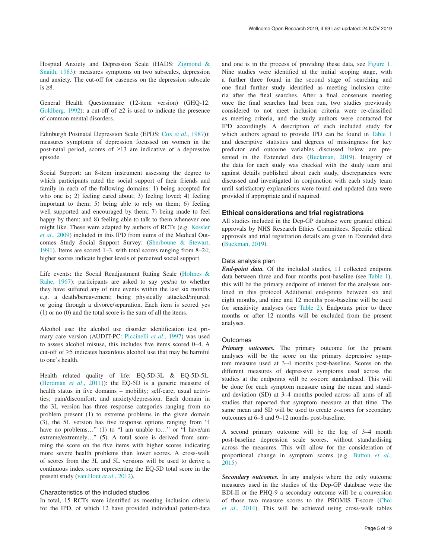Hospital Anxiety and Depression Scale (HADS: [Zigmond &](#page-12-0)  [Snaith, 1983](#page-12-0)): measures symptoms on two subscales, depression and anxiety. The cut-off for caseness on the depression subscale is ≥8.

General Health Questionnaire (12-item version) (GHQ-12: [Goldberg, 1992](#page-11-0)): a cut-off of  $\geq 2$  is used to indicate the presence of common mental disorders.

Edinburgh Postnatal Depression Scale (EPDS: Cox *et al*[., 1987](#page-11-0))): measures symptoms of depression focussed on women in the post-natal period, scores of ≥13 are indicative of a depressive episode

Social Support: an 8-item instrument assessing the degree to which participants rated the social support of their friends and family in each of the following domains: 1) being accepted for who one is; 2) feeling cared about; 3) feeling loved; 4) feeling important to them; 5) being able to rely on them; 6) feeling well supported and encouraged by them; 7) being made to feel happy by them; and 8) feeling able to talk to them whenever one might like. These were adapted by authors of RCTs (e.g. [Kessler](#page-11-0) *et al*[., 2009\)](#page-11-0) included in this IPD from items of the Medical Outcomes Study Social Support Survey: [\(Sherboune & Stewart,](#page-12-0)  [1991\)](#page-12-0). Items are scored 1–3, with total scores ranging from 8–24; higher scores indicate higher levels of perceived social support.

Life events: the Social Readjustment Rating Scale [\(Holmes &](#page-11-0)  [Rahe, 1967](#page-11-0)): participants are asked to say yes/no to whether they have suffered any of nine events within the last six months e.g. a death/bereavement; being physically attacked/injured; or going through a divorce/separation. Each item is scored yes (1) or no (0) and the total score is the sum of all the items.

Alcohol use: the alcohol use disorder identification test primary care version (AUDIT-PC: [Piccinelli](#page-12-0) *et al*., 1997) was used to assess alcohol misuse, this includes five items scored 0–4. A cut-off of ≥5 indicates hazardous alcohol use that may be harmful to one's health.

Health related quality of life: EQ-5D-3L & EQ-5D-5L: ([Herdman](#page-11-0) *et al*., 2011)): the EQ-5D is a generic measure of health status in five domains – mobility; self-care; usual activities; pain/discomfort; and anxiety/depression. Each domain in the 3L version has three response categories ranging from no problem present (1) to extreme problems in the given domain (3), the 5L version has five response options ranging from "I have no problems..." (1) to "I am unable to..." or "I have/am extreme/extremely…" (5). A total score is derived from summing the score on the five items with higher scores indicating more severe health problems than lower scores. A cross-walk of scores from the 3L and 5L versions will be used to derive a continuous index score representing the EQ-5D total score in the present study ([van Hout](#page-12-0) *et al*., 2012).

#### Characteristics of the included studies

In total, 15 RCTs were identified as meeting inclusion criteria for the IPD, of which 12 have provided individual patient-data

and one is in the process of providing these data, see [Figure 1](#page-5-0). Nine studies were identified at the initial scoping stage, with a further three found in the second stage of searching and one final further study identified as meeting inclusion criteria after the final searches. After a final consensus meeting once the final searches had been run, two studies previously considered to not meet inclusion criteria were re-classified as meeting criteria, and the study authors were contacted for IPD accordingly. A description of each included study for which authors agreed to provide IPD can be found in [Table 1](#page-6-0) and descriptive statistics and degrees of missingness for key predictor and outcome variables discussed below are presented in the Extended data ([Buckman, 2019\)](#page-11-0). Integrity of the data for each study was checked with the study team and against details published about each study, discrepancies were discussed and investigated in conjunction with each study team until satisfactory explanations were found and updated data were provided if appropriate and if required.

### **Ethical considerations and trial registrations**

All studies included in the Dep-GP database were granted ethical approvals by NHS Research Ethics Committees. Specific ethical approvals and trial registration details are given in Extended data ([Buckman, 2019\)](#page-11-0).

#### Data analysis plan

*End-point data.* Of the included studies, 11 collected endpoint data between three and four months post-baseline (see [Table 1](#page-6-0)), this will be the primary endpoint of interest for the analyses outlined in this protocol Additional end-points between six and eight months, and nine and 12 months post-baseline will be used for sensitivity analyses (see [Table 2](#page-7-0)). Endpoints prior to three months or after 12 months will be excluded from the present analyses.

#### **Outcomes**

*Primary outcomes.* The primary outcome for the present analyses will be the score on the primary depressive symptom measure used at 3–4 months post-baseline. Scores on the different measures of depressive symptoms used across the studies at the endpoints will be z-score standardised. This will be done for each symptom measure using the mean and standard deviation (SD) at 3–4 months pooled across all arms of all studies that reported that symptom measure at that time. The same mean and SD will be used to create z-scores for secondary outcomes at 6–8 and 9–12 months post-baseline.

A second primary outcome will be the log of 3–4 month post-baseline depression scale scores, without standardising across the measures. This will allow for the consideration of proportional change in symptom scores (e.g. [Button](#page-11-0) *et al*., [2015\)](#page-11-0)

*Secondary outcomes.* In any analysis where the only outcome measures used in the studies of the Dep-GP database were the BDI-II or the PHQ-9 a secondary outcome will be a conversion of those two measure scores to the PROMIS T-score [\(Choi](#page-11-0)  *et al*[., 2014\)](#page-11-0). This will be achieved using cross-walk tables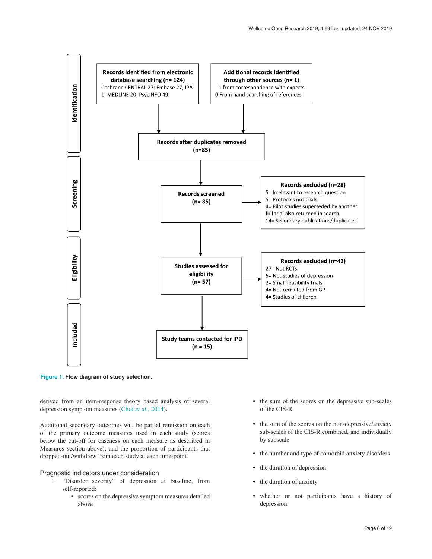<span id="page-5-0"></span>

**Figure 1. Flow diagram of study selection.**

derived from an item-response theory based analysis of several depression symptom measures (Choi *et al*[., 2014](#page-11-0)).

Additional secondary outcomes will be partial remission on each of the primary outcome measures used in each study (scores below the cut-off for caseness on each measure as described in Measures section above), and the proportion of participants that dropped-out/withdrew from each study at each time-point.

#### Prognostic indicators under consideration

- 1. "Disorder severity" of depression at baseline, from self-reported:
	- scores on the depressive symptom measures detailed above
- the sum of the scores on the depressive sub-scales of the CIS-R
- the sum of the scores on the non-depressive/anxiety sub-scales of the CIS-R combined, and individually by subscale
- the number and type of comorbid anxiety disorders
- the duration of depression
- the duration of anxiety
- whether or not participants have a history of depression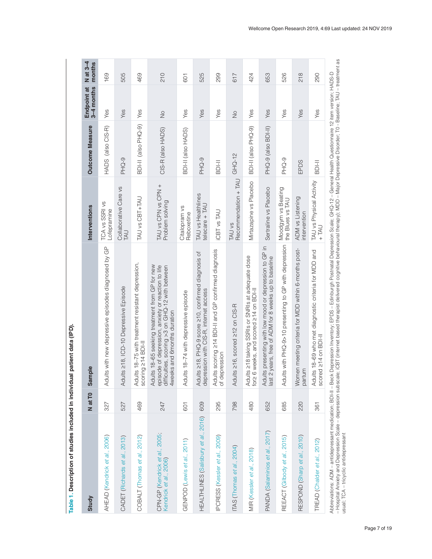<span id="page-6-0"></span>

| Study                                                    | N at T <sub>0</sub> | ple<br>Sam                                                                                                                                                                                   | Interventions                           | Outcome Measure     | Endpoint at<br>3–4 months | $N$ at 3-4<br>months |
|----------------------------------------------------------|---------------------|----------------------------------------------------------------------------------------------------------------------------------------------------------------------------------------------|-----------------------------------------|---------------------|---------------------------|----------------------|
| AHEAD (Kendrick et al., 2006)                            | 327                 | Adults with new depressive episodes diagnosed by GP                                                                                                                                          | TCA vs SSRI vs<br>Lofepramine           | HADS (also CIS-R)   | Yes                       | 169                  |
| CADET (Richards et al., 2013)                            | 527                 | Adults 218, ICD-10 Depressive Episode                                                                                                                                                        | Collaborative Care vs<br>LAU            | PHQ-9               | Yes                       | 505                  |
| COBALT (Thomas et al., 2012)                             | 469                 | Adults 18-75 with treatment resistant depression,<br>scoring 214 BDI-II                                                                                                                      | TAU vs CBT+TAU                          | BDI-II (also PHQ-9) | Yes                       | 469                  |
| CPN-GP (Kendrick et al., 2005;<br>Kendrick et al., 2006) | 247                 | Adults 18-65 seeking treatment from GP for new<br>episode of depression, anxiety or reaction to life<br>difficulties, scoring >3 on GHQ-12 with between<br>4weeks and 6months duration       | + NAU vs CPN vs CPN<br>Problem solving  | CIS-R (also HADS)   | $\frac{1}{2}$             | 210                  |
| GENPOD (Lewis et al., 2011)                              | 601                 | Adults 18-74 with depressive episode                                                                                                                                                         | Citalopram vs<br>Reboxetine             | BDI-II (also HADS)  | Yes                       | 601                  |
| HEALTHLINES (Salisbury et al., 2016)                     | 609                 | Adults 218, PHQ-9 score 210, confirmed diagnosis of<br>depression with CIS-R, internet access                                                                                                | TAU vs Healthlines<br>$t$ elecare + TAU | PHQ-9               | Yes                       | 525                  |
| PCRESS (Kessler et al., 2009)                            | 295                 | Adults scoring ≥14 BDI-II and GP confirmed diagnosis<br>of depression                                                                                                                        | <b>ICBT</b> vs TAU                      | <b>IPIOS</b>        | Yes                       | 299                  |
| ITAS (Thomas et al., 2004)                               | 798                 | Adults ≥16, scored ≥12 on CIS-R                                                                                                                                                              | Recommendation + TAU<br>TAU vs          | $GHQ-12$            | $\frac{1}{2}$             | 617                  |
| MIR (Kessler <i>et al.</i> , 2018)                       | 480                 | Adults ≥18 taking SSRIs or SNRIs at adequate dose<br>for≥ 6 weeks, and scored ≥14 on BDI-II                                                                                                  | Mirtazapine vs Placebo                  | BDI-II (also PHQ-9) | Yes                       | 424                  |
| PANDA (Salaminios et al., 2017)                          | 652                 | Its presenting with low mood or depression to GP in<br>2 years, free of ADM for 8 weeks up to baseline<br>Adul<br>last                                                                       | Sertraline vs Placebo                   | PHQ-9 (also BDI-II) | Yes                       | 653                  |
| REEACT (Gilbody et al., 2015)                            | 685                 | Adults with PHQ-9>10 presenting to GP with depression                                                                                                                                        | Moodgym vs Beating<br>the Blues vs TAU  | PHQ-9               | Yes                       | 526                  |
| RESPOND (Sharp et al., 2010)                             | 220                 | Women meeting criteria for MDD within 6-months post-<br>partum                                                                                                                               | ADM vs Listening<br>ntervention         | EPDS                | Yes                       | 218                  |
| TREAD (Chalder et al., 2012)                             | 361                 | Adults 18-69 who met diagnostic criteria for MDD and<br>scored 214 on BDI-II                                                                                                                 | TAU vs Physical Activity<br>$+TM$       | <b>BDI-II</b>       | Yes                       | 290                  |
|                                                          |                     | Abbreviations: ADM - antidepressant medication; BDI-II - Beck Depression Inventory; EPDS - Edinburgh Postnatal Depression Scale; GHQ-12-General Health Questionnaire 12 item version; HADS-D |                                         |                     |                           |                      |

Table 1. Description of studies included in individual patient data (IPD). **Table 1. Description of studies included in individual patient data (IPD).**

Abbreviations: ADM – antidepressant medication; BDI-II – Beck Depression Inventory; EPDS – Edinburgh Postnatal Depression Scale; GHQ-12 – General Health Questionnaire 12 item version; HADS-D<br>– Hospital Anxiety and Depressi – Hospital Anxiety and Depression Scale – depression subscale; iCBT (internet based therapist delivered cognitive behavioural therapy); MDD – Major Depressive Disorder; T0 - Baseline; TAU – treatment as usual; TCA – tricyclic antidepressant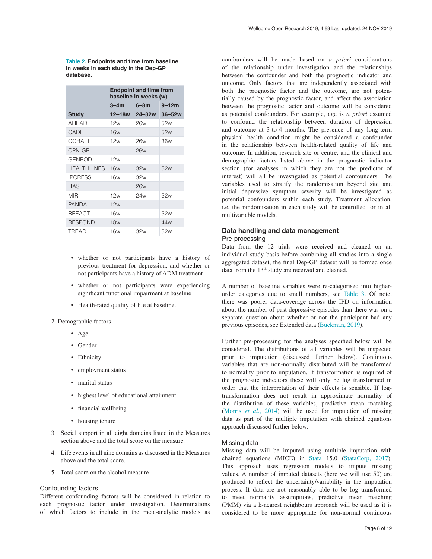<span id="page-7-0"></span>**Table 2. Endpoints and time from baseline in weeks in each study in the Dep-GP database.**

|                    | <b>Endpoint and time from</b><br>baseline in weeks (w) |            |            |
|--------------------|--------------------------------------------------------|------------|------------|
|                    | $3 - 4m$                                               | $6 - 8m$   | $9 - 12m$  |
| <b>Study</b>       | $12 - 18w$                                             | $24 - 32w$ | $36 - 52w$ |
| <b>AHEAD</b>       | 12w                                                    | 26w        | 52w        |
| <b>CADET</b>       | <b>16w</b>                                             |            | 52w        |
| <b>COBALT</b>      | 12w                                                    | 26w        | 36w        |
| CPN-GP             |                                                        | <b>26w</b> |            |
| <b>GENPOD</b>      | 12w                                                    |            |            |
| <b>HEALTHLINES</b> | 16w                                                    | 32w        | 52w        |
| <b>IPCRESS</b>     | 16w                                                    | 32w        |            |
| <b>ITAS</b>        |                                                        | <b>26w</b> |            |
| MIR                | 12w                                                    | 24w        | 52w        |
| <b>PANDA</b>       | 12w                                                    |            |            |
| <b>REEACT</b>      | 16w                                                    |            | 52w        |
| <b>RESPOND</b>     | 18w                                                    |            | 44w        |
| <b>TREAD</b>       | 16w                                                    | 32w        | 52w        |

- whether or not participants have a history of previous treatment for depression, and whether or not participants have a history of ADM treatment
- whether or not participants were experiencing significant functional impairment at baseline
- Health-rated quality of life at baseline.
- 2. Demographic factors
	- Age
	- Gender
	- Ethnicity
	- employment status
	- marital status
	- highest level of educational attainment
	- financial wellbeing
	- housing tenure
- 3. Social support in all eight domains listed in the Measures section above and the total score on the measure.
- 4. Life events in all nine domains as discussed in the Measures above and the total score.
- 5. Total score on the alcohol measure

#### Confounding factors

Different confounding factors will be considered in relation to each prognostic factor under investigation. Determinations of which factors to include in the meta-analytic models as confounders will be made based on *a priori* considerations of the relationship under investigation and the relationships between the confounder and both the prognostic indicator and outcome. Only factors that are independently associated with both the prognostic factor and the outcome, are not potentially caused by the prognostic factor, and affect the association between the prognostic factor and outcome will be considered as potential confounders. For example, age is *a priori* assumed to confound the relationship between duration of depression and outcome at 3-to-4 months. The presence of any long-term physical health condition might be considered a confounder in the relationship between health-related quality of life and outcome. In addition, research site or centre, and the clinical and demographic factors listed above in the prognostic indicator section (for analyses in which they are not the predictor of interest) will all be investigated as potential confounders. The variables used to stratify the randomisation beyond site and initial depressive symptom severity will be investigated as potential confounders within each study. Treatment allocation, i.e. the randomisation in each study will be controlled for in all multivariable models.

#### **Data handling and data management** Pre-processing

Data from the 12 trials were received and cleaned on an individual study basis before combining all studies into a single aggregated dataset, the final Dep-GP dataset will be formed once data from the 13<sup>th</sup> study are received and cleaned.

A number of baseline variables were re-categorised into higherorder categories due to small numbers, see [Table 3.](#page-8-0) Of note, there was poorer data-coverage across the IPD on information about the number of past depressive episodes than there was on a separate question about whether or not the participant had any previous episodes, see Extended data [\(Buckman, 2019](#page-11-0)).

Further pre-processing for the analyses specified below will be considered. The distributions of all variables will be inspected prior to imputation (discussed further below). Continuous variables that are non-normally distributed will be transformed to normality prior to imputation. If transformation is required of the prognostic indicators these will only be log transformed in order that the interpretation of their effects is sensible. If logtransformation does not result in approximate normality of the distribution of these variables, predictive mean matching (Morris *et al*[., 2014](#page-12-0)) will be used for imputation of missing data as part of the multiple imputation with chained equations approach discussed further below.

#### Missing data

Missing data will be imputed using multiple imputation with chained equations (MICE) in [Stata](https://www.stata.com/) 15.0 ([StataCorp, 2017](#page-12-0)). This approach uses regression models to impute missing values. A number of imputed datasets (here we will use 50) are produced to reflect the uncertainty/variability in the imputation process. If data are not reasonably able to be log transformed to meet normality assumptions, predictive mean matching (PMM) via a k-nearest neighbours approach will be used as it is considered to be more appropriate for non-normal continuous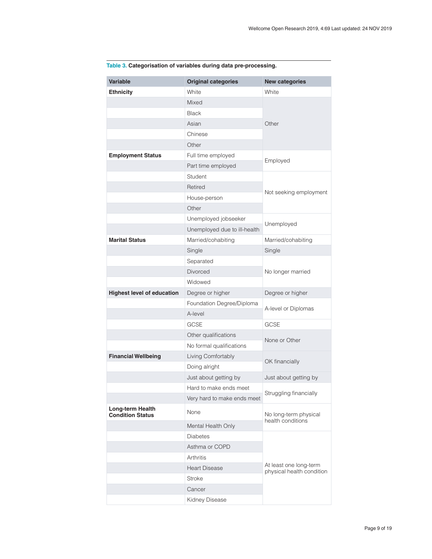| <b>Variable</b>                             | <b>Original categories</b>   | <b>New categories</b>                               |  |
|---------------------------------------------|------------------------------|-----------------------------------------------------|--|
| <b>Ethnicity</b>                            | White                        | White                                               |  |
|                                             | Mixed                        |                                                     |  |
|                                             | <b>Black</b>                 | Other                                               |  |
|                                             | Asian                        |                                                     |  |
|                                             | Chinese                      |                                                     |  |
|                                             | Other                        |                                                     |  |
| <b>Employment Status</b>                    | Full time employed           | Employed                                            |  |
|                                             | Part time employed           |                                                     |  |
|                                             | Student                      |                                                     |  |
|                                             | Retired                      | Not seeking employment                              |  |
|                                             | House-person                 |                                                     |  |
|                                             | Other                        |                                                     |  |
|                                             | Unemployed jobseeker         | Unemployed                                          |  |
|                                             | Unemployed due to ill-health |                                                     |  |
| <b>Marital Status</b>                       | Married/cohabiting           | Married/cohabiting                                  |  |
|                                             | Single                       | Single                                              |  |
|                                             | Separated                    |                                                     |  |
|                                             | <b>Divorced</b>              | No longer married                                   |  |
|                                             | Widowed                      |                                                     |  |
| <b>Highest level of education</b>           | Degree or higher             | Degree or higher                                    |  |
|                                             | Foundation Degree/Diploma    | A-level or Diplomas                                 |  |
|                                             | A-level                      |                                                     |  |
|                                             | <b>GCSE</b>                  | <b>GCSE</b>                                         |  |
|                                             | Other qualifications         | None or Other                                       |  |
|                                             | No formal qualifications     |                                                     |  |
| <b>Financial Wellbeing</b>                  | Living Comfortably           | OK financially                                      |  |
|                                             | Doing alright                |                                                     |  |
|                                             | Just about getting by        | Just about getting by                               |  |
|                                             | Hard to make ends meet       | Struggling financially                              |  |
|                                             | Very hard to make ends meet  |                                                     |  |
| Long-term Health<br><b>Condition Status</b> | None                         | No long-term physical<br>health conditions          |  |
|                                             | Mental Health Only           |                                                     |  |
|                                             | <b>Diabetes</b>              |                                                     |  |
|                                             | Asthma or COPD               |                                                     |  |
|                                             | Arthritis                    | At least one long-term<br>physical health condition |  |
|                                             | <b>Heart Disease</b>         |                                                     |  |
|                                             | <b>Stroke</b>                |                                                     |  |
|                                             | Cancer                       |                                                     |  |
|                                             | Kidney Disease               |                                                     |  |

# <span id="page-8-0"></span>**Table 3. Categorisation of variables during data pre-processing.**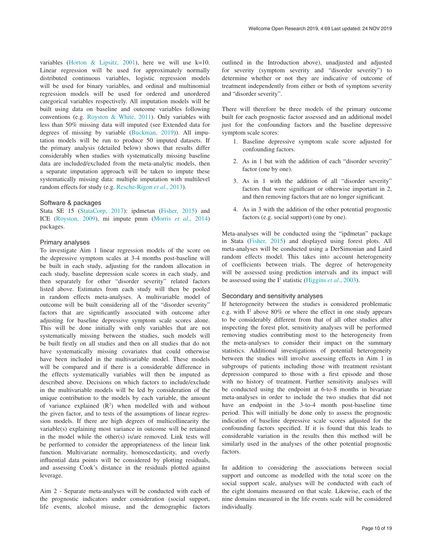variables [\(Horton & Lipsitz, 2001\)](#page-11-0), here we will use k=10. Linear regression will be used for approximately normally distributed continuous variables, logistic regression models will be used for binary variables, and ordinal and multinomial regression models will be used for ordered and unordered categorical variables respectively. All imputation models will be built using data on baseline and outcome variables following conventions (e.g. [Royston & White, 2011](#page-12-0)). Only variables with less than 50% missing data will imputed (see Extended data for degrees of missing by variable [\(Buckman, 2019](#page-11-0))). All imputation models will be run to produce 50 imputed datasets. If the primary analysis (detailed below) shows that results differ considerably when studies with systematically missing baseline data are included/excluded from the meta-analytic models, then a separate imputation approach will be taken to impute these systematically missing data: multiple imputation with multilevel random effects for study (e.g. [Resche-Rigon](#page-12-0) *et al*., 2013).

#### Software & packages

Stata SE 15 ([StataCorp, 2017](#page-12-0)): ipdmetan [\(Fisher, 2015](#page-11-0)) and ICE ([Royston, 2009](#page-12-0)), mi impute pmm (Morris *et al*[., 2014\)](#page-12-0) packages.

#### Primary analyses

To investigate Aim 1 linear regression models of the score on the depressive symptom scales at 3-4 months post-baseline will be built in each study, adjusting for the random allocation in each study, baseline depression scale scores in each study, and then separately for other "disorder severity" related factors listed above. Estimates from each study will then be pooled in random effects meta-analyses. A multivariable model of outcome will be built considering all of the "disorder severity" factors that are significantly associated with outcome after adjusting for baseline depressive symptom scale scores alone. This will be done initially with only variables that are not systematically missing between the studies, such models will be built firstly on all studies and then on all studies that do not have systematically missing covariates that could otherwise have been included in the multivariable model. These models will be compared and if there is a considerable difference in the effects systematically variables will then be imputed as described above. Decisions on which factors to include/exclude in the multivariable models will be led by consideration of the unique contribution to the models by each variable, the amount of variance explained  $(R^2)$  when modelled with and without the given factor, and to tests of the assumptions of linear regression models. If there are high degrees of multicollinearity the variable(s) explaining most variance in outcome will be retained in the model while the other(s) is/are removed. Link tests will be performed to consider the appropriateness of the linear link function. Multivariate normality, homoscedasticity, and overly influential data points will be considered by plotting residuals, and assessing Cook's distance in the residuals plotted against leverage.

Aim 2 - Separate meta-analyses will be conducted with each of the prognostic indicators under consideration (social support, life events, alcohol misuse, and the demographic factors

outlined in the Introduction above), unadjusted and adjusted for severity (symptom severity and "disorder severity") to determine whether or not they are indicative of outcome of treatment independently from either or both of symptom severity and "disorder severity".

There will therefore be three models of the primary outcome built for each prognostic factor assessed and an additional model just for the confounding factors and the baseline depressive symptom scale scores:

- 1. Baseline depressive symptom scale score adjusted for confounding factors.
- 2. As in 1 but with the addition of each "disorder severity" factor (one by one).
- 3. As in 1 with the addition of all "disorder severity" factors that were significant or otherwise important in 2, and then removing factors that are no longer significant.
- 4. As in 3 with the addition of the other potential prognostic factors (e.g. social support) (one by one).

Meta-analyses will be conducted using the "ipdmetan" package in Stata ([Fisher, 2015](#page-11-0)) and displayed using forest plots. All meta-analyses will be conducted using a DerSimonian and Laird random effects model. This takes into account heterogeneity of coefficients between trials. The degree of heterogeneity will be assessed using prediction intervals and its impact will be assessed using the I<sup>2</sup> statistic ([Higgins](#page-11-0) *et al.*, 2003).

#### Secondary and sensitivity analyses

If heterogeneity between the studies is considered problematic e.g. with  $I^2$  above 80% or where the effect in one study appears to be considerably different from that of all other studies after inspecting the forest plot, sensitivity analyses will be performed removing studies contributing most to the heterogeneity from the meta-analyses to consider their impact on the summary statistics. Additional investigations of potential heterogeneity between the studies will involve assessing effects in Aim 1 in subgroups of patients including those with treatment resistant depression compared to those with a first episode and those with no history of treatment. Further sensitivity analyses will be conducted using the endpoint at 6-to-8 months in bivariate meta-analyses in order to include the two studies that did not have an endpoint in the 3-to-4 month post-baseline time period. This will initially be done only to assess the prognostic indication of baseline depressive scale scores adjusted for the confounding factors specified. If it is found that this leads to considerable variation in the results then this method will be similarly used in the analyses of the other potential prognostic factors.

In addition to considering the associations between social support and outcome as modelled with the total score on the social support scale, analyses will be conducted with each of the eight domains measured on that scale. Likewise, each of the nine domains measured in the life events scale will be considered individually.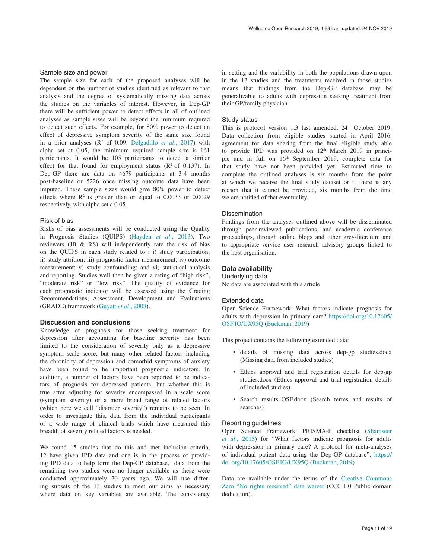#### Sample size and power

The sample size for each of the proposed analyses will be dependent on the number of studies identified as relevant to that analysis and the degree of systematically missing data across the studies on the variables of interest. However, in Dep-GP there will be sufficient power to detect effects in all of outlined analyses as sample sizes will be beyond the minimum required to detect such effects. For example, for 80% power to detect an effect of depressive symptom severity of the same size found in a prior analyses  $(R^2$  of 0.09: [Delgadillo](#page-11-0) *et al.*, 2017) with alpha set at 0.05, the minimum required sample size is 161 participants. It would be 105 participants to detect a similar effect for that found for employment status  $(R^2 \text{ of } 0.137)$ . In Dep-GP there are data on 4679 participants at 3-4 months post-baseline or 5226 once missing outcome data have been imputed. These sample sizes would give 80% power to detect effects where  $\mathbb{R}^2$  is greater than or equal to 0.0033 or 0.0029 respectively, with alpha set a 0.05.

## Risk of bias

Risks of bias assessments will be conducted using the Quality in Prognosis Studies (QUIPS) ([Hayden](#page-11-0) *et al*., 2013). Two reviewers (JB & RS) will independently rate the risk of bias on the QUIPS in each study related to : i) study participation; ii) study attrition; iii) prognostic factor measurement; iv) outcome measurement; v) study confounding; and vi) statistical analysis and reporting. Studies well then be given a rating of "high risk", "moderate risk" or "low risk". The quality of evidence for each prognostic indicator will be assessed using the Grading Recommendations, Assessment, Development and Evaluations (GRADE) framework [\(Guyatt](#page-11-0) *et al*., 2008).

#### **Discussion and conclusions**

Knowledge of prognosis for those seeking treatment for depression after accounting for baseline severity has been limited to the consideration of severity only as a depressive symptom scale score, but many other related factors including the chronicity of depression and comorbid symptoms of anxiety have been found to be important prognostic indicators. In addition, a number of factors have been reported to be indicators of prognosis for depressed patients, but whether this is true after adjusting for severity encompassed in a scale score (symptom severity) or a more broad range of related factors (which here we call "disorder severity") remains to be seen. In order to investigate this, data from the individual participants of a wide range of clinical trials which have measured this breadth of severity related factors is needed.

We found 15 studies that do this and met inclusion criteria, 12 have given IPD data and one is in the process of providing IPD data to help form the Dep-GP database, data from the remaining two studies were no longer available as these were conducted approximately 20 years ago. We will use differing subsets of the 13 studies to meet our aims as necessary where data on key variables are available. The consistency in setting and the variability in both the populations drawn upon in the 13 studies and the treatments received in those studies means that findings from the Dep-GP database may be generalizable to adults with depression seeking treatment from their GP/family physician.

#### Study status

This is protocol version 1.3 last amended, 24<sup>th</sup> October 2019. Data collection from eligible studies started in April 2016, agreement for data sharing from the final eligible study able to provide IPD was provided on  $12<sup>th</sup>$  March 2019 in principle and in full on 16<sup>th</sup> September 2019, complete data for that study have not been provided yet. Estimated time to complete the outlined analyses is six months from the point at which we receive the final study dataset or if there is any reason that it cannot be provided, six months from the time we are notified of that eventuality.

#### **Dissemination**

Findings from the analyses outlined above will be disseminated through peer-reviewed publications, and academic conference proceedings, through online blogs and other grey-literature and to appropriate service user research advisory groups linked to the host organisation.

#### **Data availability**

Underlying data

No data are associated with this article

#### Extended data

Open Science Framework: What factors indicate prognosis for adults with depression in primary care? [https://doi.org/10.17605/](https://doi.org/10.17605/OSF.IO/UX95Q) [OSF.IO/UX95Q](https://doi.org/10.17605/OSF.IO/UX95Q) [\(Buckman, 2019](#page-11-0))

This project contains the following extended data:

- details of missing data across dep-gp studies.docx (Missing data from included studies)
- Ethics approval and trial registration details for dep-gp studies.docx (Ethics approval and trial registration details of included studies)
- Search results\_OSF.docx (Search terms and results of searches)

#### Reporting guidelines

Open Science Framework: PRISMA-P checklist ([Shamseer](#page-12-0)  *et al*[., 2015](#page-12-0)) for "What factors indicate prognosis for adults with depression in primary care? A protocol for meta-analyses of individual patient data using the Dep-GP database". [https://](https://doi.org/10.17605/OSF.IO/UX95Q) [doi.org/10.17605/OSF.IO/UX95Q](https://doi.org/10.17605/OSF.IO/UX95Q) ([Buckman, 2019\)](#page-11-0)

Data are available under the terms of the [Creative Commons](http://creativecommons.org/publicdomain/zero/1.0/)  [Zero "No rights reserved" data waiver](http://creativecommons.org/publicdomain/zero/1.0/) (CC0 1.0 Public domain dedication).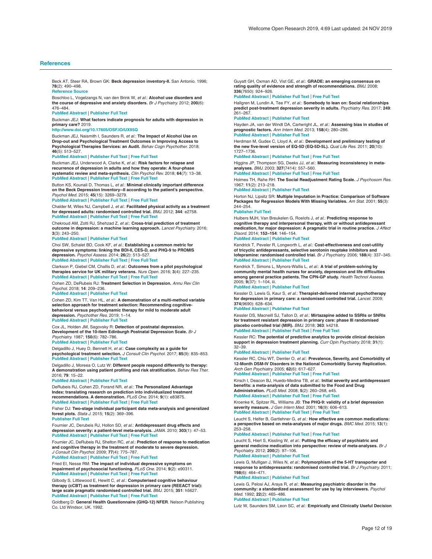<span id="page-11-0"></span>Beck AT, Steer RA, Brown GK: **Beck depression inventory-II.** San Antonio. 1996; **78**(2): 490–498.

**[Reference](https://www.brown.edu/academics/public-health/research/mens-health-initiative/bdiii) Source**

Boschloo L, Vogelzangs N, van den Brink W, *et al.: A*lc**ohol use disorders and**<br>**the course of depressive and anxiety disorders.** *Br J Psychiatry.* 2012; **200**(6): 476–484.

**PubMed [Abstract](http://www.ncbi.nlm.nih.gov/pubmed/22322459)** | **[Publisher](http://dx.doi.org/10.1192/bjp.bp.111.097550) Full Text**

Buckman JEJ: **What factors indicate prognosis for adults with depression in primary care?** 2019.

**<http://www.doi.org/10.17605/OSF.IO/UX95Q>**

Buckman JEJ, Naismith I, Saunders R, *et al.*: **The Impact of Alcohol Use on Drop-out and Psychological Treatment Outcomes in Improving Access to Psychological Therapies Services: an Audit.** *Behav Cogn Psychother.* 2018; **46**(5): 513–527.

#### **PubMed [Abstract](http://www.ncbi.nlm.nih.gov/pubmed/29480157)** | **[Publisher](http://dx.doi.org/10.1017/S1352465817000819) Full Text** | **[Free](http://www.ncbi.nlm.nih.gov/pmc/articles/6533638) Full Text**

Buckman JEJ, Underwood A, Clarke K, *et al.*: **Risk factors for relapse and recurrence of depression in adults and how they operate: A four-phase systematic review and meta-synthesis.** *Clin Psychol Rev.* 2018; **64**(7): 13–38. **PubMed [Abstract](http://www.ncbi.nlm.nih.gov/pubmed/30075313)** | **[Publisher](http://dx.doi.org/10.1016/j.cpr.2018.07.005) Full Text** | **[Free](http://www.ncbi.nlm.nih.gov/pmc/articles/6237833) Full Text**

Button KS, Kounali D, Thomas L, *et al.*: **Minimal clinically important difference on the Beck Depression Inventory--II according to the patient's perspective.** *Psychol Med.* 2015; **45**(15): 3269–3279.

**PubMed [Abstract](http://www.ncbi.nlm.nih.gov/pubmed/26165748)** | **[Publisher](http://dx.doi.org/10.1017/S0033291715001270) Full Text** | **[Free](http://www.ncbi.nlm.nih.gov/pmc/articles/4611356) Full Text**

Chalder M, Wiles NJ, Campbell J, *et al.*: **Facilitated physical activity as a treatment for depressed adults: randomised controlled trial.** *BMJ.* 2012; **344**: e2758. **PubMed [Abstract](http://www.ncbi.nlm.nih.gov/pubmed/22674921)** | **[Publisher](http://dx.doi.org/10.1136/bmj.e2758) Full Text** | **[Free](http://www.ncbi.nlm.nih.gov/pmc/articles/3368484) Full Text**

Chekroud AM, Zotti RJ, Shehzad Z, *et al.*: **Cross-trial prediction of treatment outcome in depression: a machine learning approach.** *Lancet Psychiatry.* 2016; **3**(3): 243–250.

**PubMed [Abstract](http://www.ncbi.nlm.nih.gov/pubmed/26803397)** | **[Publisher](http://dx.doi.org/10.1016/S2215-0366(15)00471-X) Full Text**

Choi SW, Schalet BD, Cook KF, *et al.*: Establishing a common metric for<br>depressive symptoms: linking the BDI-II, CES-D, and PHQ-9 to PROMIS **depression.** *Psychol Assess.* 2014; **26**(2): 513–527.

#### **PubMed [Abstract](http://www.ncbi.nlm.nih.gov/pubmed/24548149)** | **[Publisher](http://dx.doi.org/10.1037/a0035768) Full Text** | **[Free](http://www.ncbi.nlm.nih.gov/pmc/articles/5515387) Full Text**

Clarkson P, Giebel CM, Challis D, *et al.*: **Outcomes from a pilot psychological therapies service for UK military veterans.** *Nurs Open.* 2016; **3**(4): 227–235. **PubMed [Abstract](http://www.ncbi.nlm.nih.gov/pubmed/27708834)** | **[Publisher](http://dx.doi.org/10.1002/nop2.57) Full Text** | **[Free](http://www.ncbi.nlm.nih.gov/pmc/articles/5050547) Full Text**

Cohen ZD, DeRubeis RJ: **Treatment Selection in Depression.** *Annu Rev Clin Psychol.* 2018; **14**: 209–236.

#### **PubMed [Abstract](http://www.ncbi.nlm.nih.gov/pubmed/29494258)** | **[Publisher](http://dx.doi.org/10.1146/annurev-clinpsy-050817-084746) Full Text**

Cohen ZD, Kim TT, Van HL, *et al.*: **A demonstration of a multi-method variable selection approach for treatment selection: Recommending cognitivebehavioral versus psychodynamic therapy for mild to moderate adult depression.** *Psychother Res.* 2019; 1–14.

**PubMed [Abstract](http://www.ncbi.nlm.nih.gov/pubmed/30632922)** | **[Publisher](http://dx.doi.org/10.1080/10503307.2018.1563312) Full Text**

Cox JL, Holden JM, Sagovsky R: **Detection of postnatal depression. Development of the 10-item Edinburgh Postnatal Depression Scale.** *Br J Psychiatry.* 1987; **150**(6): 782–786.

#### **PubMed [Abstract](http://www.ncbi.nlm.nih.gov/pubmed/3651732)** | **[Publisher](http://dx.doi.org/10.1192/bjp.150.6.782) Full Text**

Delgadillo J, Huey D, Bennett H, *et al.*: **Case complexity as a guide for psychological treatment selection.** *J Consult Clin Psychol.* 2017; **85**(9): 835–853. **PubMed [Abstract](http://www.ncbi.nlm.nih.gov/pubmed/28857592)** | **[Publisher](http://dx.doi.org/10.1037/ccp0000231) Full Text**

Delgadillo J, Moreea O, Lutz W: **Different people respond differently to therapy: A demonstration using patient profiling and risk stratification.** *Behav Res Ther.* 2016; **79**: 15–22.

#### **PubMed [Abstract](http://www.ncbi.nlm.nih.gov/pubmed/26937855)** | **[Publisher](http://dx.doi.org/10.1016/j.brat.2016.02.003) Full Text**

DeRubeis RJ, Cohen ZD, Forand NR, *et al.*: **The Personalized Advantage** Index: translating research on prediction into individualized treatment<br>recommendations. A demonstration. *PLoS One.* 2014; 9(1): e83875. **PubMed [Abstract](http://www.ncbi.nlm.nih.gov/pubmed/24416178)** | **[Publisher](http://dx.doi.org/10.1371/journal.pone.0083875) Full Text** | **[Free](http://www.ncbi.nlm.nih.gov/pmc/articles/3885521) Full Text**

Fisher DJ: **Two-stage individual participant data meta-analysis and generalized forest plots.** *Stata J.* 2015; **15**(2): 369–396. **[Publisher](http://dx.doi.org/10.1177/1536867X1501500203) Full Text**

Fournier JC, Derubeis RJ, Hollon SD, *et al.*: **Antidepressant drug effects and**<br>**depression severity: a patient-level meta-analysis.** JAMA. 2010; 3**03**(1): 47–53. **PubMed [Abstract](http://www.ncbi.nlm.nih.gov/pubmed/20051569)** | **[Publisher](http://dx.doi.org/10.1001/jama.2009.1943) Full Text** | **[Free](http://www.ncbi.nlm.nih.gov/pmc/articles/3712503) Full Text**

Fournier JC, DeRubeis RJ, Shelton RC, *et al.*: **Prediction of response to medication and cognitive therapy in the treatment of moderate to severe depression.** *J Consult Clin Psychol.* 2009; **77**(4): 775–787.

**PubMed [Abstract](http://www.ncbi.nlm.nih.gov/pubmed/19634969)** | **[Publisher](http://dx.doi.org/10.1037/a0015401) Full Text** | **[Free](http://www.ncbi.nlm.nih.gov/pmc/articles/2810269) Full Text**

Fried EI, Nesse RM: **The impact of individual depressive symptoms on impairment of psychosocial functioning.** *PLoS One.* 2014; **9**(2): e90311. **PubMed [Abstract](http://www.ncbi.nlm.nih.gov/pubmed/24587318)** | **[Publisher](http://dx.doi.org/10.1371/journal.pone.0090311) Full Text** | **[Free](http://www.ncbi.nlm.nih.gov/pmc/articles/3938686) Full Text**

Gilbody S, Littlewood E, Hewitt C, *et al.*: **Computerised cognitive behaviour** therapy (cCBT) as treatment for depression in primary care (REEACT trial):<br>large scale pragmatic randomised controlled trial. *BMJ.* 2015; 351: h5627.<br><mark>PubMed [Abstract](http://www.ncbi.nlm.nih.gov/pubmed/26559241) | [Publisher](http://dx.doi.org/10.1136/bmj.h5627) Full Text | [Free](http://www.ncbi.nlm.nih.gov/pmc/articles/4641883) Full Text</mark>

Goldberg D: **General Health Questionnaire (GHQ-12) NFER**. Nelson Publishing Co. Ltd Windsor, UK. 1992.

Guyatt GH, Oxman AD, Vist GE, *et al.*: **GRADE: an emerging consensus on rating quality of evidence and strength of recommendations.** *BMJ.* 2008; **336**(7650): 924–926.

**PubMed [Abstract](http://www.ncbi.nlm.nih.gov/pubmed/18436948)** | **[Publisher](http://dx.doi.org/10.1136/bmj.39489.470347.AD) Full Text** | **[Free](http://www.ncbi.nlm.nih.gov/pmc/articles/2335261) Full Text**

Hallgren M, Lundin A, Tee FY, *et al.*: **Somebody to lean on: Social relationships predict post-treatment depression severity in adults.** *Psychiatry Res.* 2017; **249**: 261–267.

#### **PubMed [Abstract](http://www.ncbi.nlm.nih.gov/pubmed/28131948)** | **[Publisher](http://dx.doi.org/10.1016/j.psychres.2016.12.060) Full Text**

Hayden JA, van der Windt DA, Cartwright JL, *et al.*: **Assessing bias in studies of prognostic factors.** *Ann Intern Med.* 2013; **158**(4): 280–286. **PubMed [Abstract](http://www.ncbi.nlm.nih.gov/pubmed/23420236)** | **[Publisher](http://dx.doi.org/10.7326/0003-4819-158-4-201302190-00009) Full Text**

Herdman M, Gudex C, Lloyd A, *et al.*: **Development and preliminary testing of the new five-level version of EQ-5D (EQ-5D-5L).** *Qual Life Res.* 2011; **20**(10): 1727–1736.

#### **PubMed [Abstract](http://www.ncbi.nlm.nih.gov/pubmed/21479777)** | **[Publisher](http://dx.doi.org/10.1007/s11136-011-9903-x) Full Text** | **[Free](http://www.ncbi.nlm.nih.gov/pmc/articles/3220807) Full Text**

Higgins JP, Thompson SG, Deeks JJ, *et al.*: **Measuring inconsistency in metaanalyses.** *BMJ.* 2003; **327**(7414): 557–560.

**PubMed [Abstract](http://www.ncbi.nlm.nih.gov/pubmed/12958120)** | **[Publisher](http://dx.doi.org/10.1136/bmj.327.7414.557) Full Text** | **[Free](http://www.ncbi.nlm.nih.gov/pmc/articles/192859) Full Text**

Holmes TH, Rahe RH: **The Social Readjustment Rating Scale.** *J Psychosom Res.* 1967; **11**(2): 213–218.

**PubMed [Abstract](http://www.ncbi.nlm.nih.gov/pubmed/6059863)** | **[Publisher](http://dx.doi.org/10.1016/0022-3999(67)90010-4) Full Text**

Horton NJ, Lipsitz SR: **Multiple Imputation in Practice: Comparison of Software Packages for Regression Models With Missing Variables.** *Am Stat.* 2001; **55**(3): 244–254.

#### **[Publisher](http://dx.doi.org/10.1198/000313001317098266) Full Text**

Huibers MJH, Van Breukelen G, Roelofs J, *et al.*: **Predicting response to cognitive therapy and interpersonal therapy, with or without antidepressant medication, for major depression: A pragmatic trial in routine practice.** *J Affect Disord.* 2014; **152–154**: 146–154.

### **PubMed [Abstract](http://www.ncbi.nlm.nih.gov/pubmed/24060588)** | **[Publisher](http://dx.doi.org/10.1016/j.jad.2013.08.027) Full Text**

Kendrick T, Peveler R, Longworth L, et al.: Cost-effectiveness and cost-utility<br>of tricyclic antidepressants, selective serotonin reuptake inhibitors and **lofepramine: randomised controlled trial.** *Br J Psychiatry.* 2006; **188**(4): 337–345. **PubMed [Abstract](http://www.ncbi.nlm.nih.gov/pubmed/16582060)** | **[Publisher](http://dx.doi.org/10.1192/bjp.188.4.337) Full Text**

Kendrick T, Simons L, Mynors-Wallis L, *et al.*: **A trial of problem-solving by community mental health nurses for anxiety, depression and life difficulties among general practice patients.The CPN-GP study.** *Health Technol Assess.* 2005; **9**(37): 1–104, iii.

#### **PubMed [Abstract](http://www.ncbi.nlm.nih.gov/pubmed/16153354)** | **[Publisher](http://dx.doi.org/10.3310/hta9370) Full Text**

Kessler D, Lewis G, Kaur S, *et al.*: **Therapist-delivered internet psychotherapy for depression in primary care: a randomised controlled trial.** *Lancet.* 2009; **374**(9690): 628–634.

#### **PubMed [Abstract](http://www.ncbi.nlm.nih.gov/pubmed/19700005)** | **[Publisher](http://dx.doi.org/10.1016/S0140-6736(09)61257-5) Full Text**

Kessler DS, Macneill SJ, Tallon D, *et al.*: **Mirtazapine added to SSRIs or SNRIs for treatment resistant depression in primary care: phase III randomised placebo controlled trial (MIR).** *BMJ.* 2018; **363**: k4218. **PubMed [Abstract](http://www.ncbi.nlm.nih.gov/pubmed/30381374)** | **[Publisher](http://dx.doi.org/10.1136/bmj.k4218) Full Text** | **[Free](http://www.ncbi.nlm.nih.gov/pmc/articles/6207929) Full Text**

Kessler RC: **The potential of predictive analytics to provide clinical decision support in depression treatment planning.** *Curr Opin Psychiatry.* 2018; **31**(1): 32–39.

#### **PubMed [Abstract](http://www.ncbi.nlm.nih.gov/pubmed/29076894)** | **[Publisher](http://dx.doi.org/10.1097/YCO.0000000000000377) Full Text**

Kessler RC, Chiu WT, Demler O, *et al.*: Prevalence, Severity, and Comorbidity of<br>12-Month DSM-IV Disorders in the National Comorbidity Survey Replication. *Arch Gen Psychiatry.* 2005; **62**(6): 617–627.

#### **PubMed [Abstract](http://www.ncbi.nlm.nih.gov/pubmed/15939839)** | **[Publisher](http://dx.doi.org/10.1001/archpsyc.62.6.617) Full Text** | **[Free](http://www.ncbi.nlm.nih.gov/pmc/articles/2847357) Full Text**

Kirsch I, Deacon BJ, Huedo-Medina TB, *et al.*: **Initial severity and antidepressant benefits: a meta-analysis of data submitted to the Food and Drug Administration.** *PLoS Med.* 2008; **5**(2): 260–268, e45.

#### **PubMed [Abstract](http://www.ncbi.nlm.nih.gov/pubmed/18303940)** | **[Publisher](http://dx.doi.org/10.1371/journal.pmed.0050045) Full Text** | **[Free](http://www.ncbi.nlm.nih.gov/pmc/articles/2253608) Full Text**

Kroenke K, Spitzer RL, Williams JB: **The PHQ-9: validity of a brief depression severity measure.** *J Gen Intern Med.* 2001; **16**(9): 606–613. **PubMed [Abstract](http://www.ncbi.nlm.nih.gov/pubmed/11556941)** | **[Publisher](http://dx.doi.org/10.1046/j.1525-1497.2001.016009606.x) Full Text** | **[Free](http://www.ncbi.nlm.nih.gov/pmc/articles/1495268) Full Text**

Leucht S, Helfer B, Gartlehner G, *et al.*: **How effective are common medications:**

**a perspective based on meta-analyses of major drugs.** *BMC Med.* 2015; **13**(1): 253–258.

### **PubMed [Abstract](http://www.ncbi.nlm.nih.gov/pubmed/26431961)** | **[Publisher](http://dx.doi.org/10.1186/s12916-015-0494-1) Full Text** | **[Free](http://www.ncbi.nlm.nih.gov/pmc/articles/4592565) Full Text**

Leucht S, Hierl S, Kissling W, *et al.*: **Putting the efficacy of psychiatric and general medicine medication into perspective: review of meta-analyses.** *Br J Psychiatry.* 2012; **200**(2): 97–106.

#### **PubMed [Abstract](http://www.ncbi.nlm.nih.gov/pubmed/22297588)** | **[Publisher](http://dx.doi.org/10.1192/bjp.bp.111.096594) Full Text**

Lewis G, Mulligan J, Wiles N, *et al.*: **Polymorphism of the 5-HT transporter and response to antidepressants: randomised controlled trial.** *Br J Psychiatry.* 2011; **198**(6): 464–471. **PubMed [Abstract](http://www.ncbi.nlm.nih.gov/pubmed/21263010)** | **[Publisher](http://dx.doi.org/10.1192/bjp.bp.110.082727) Full Text**

Lewis G, Pelosi AJ, Araya R, *et al.*: **Measuring psychiatric disorder in the community: a standardized assessment for use by lay interviewers.** *Psychol Med.* 1992; **22**(2): 465–486. **PubMed [Abstract](http://www.ncbi.nlm.nih.gov/pubmed/1615114)** | **[Publisher](http://dx.doi.org/10.1017/S0033291700030415) Full Text**

Lutz W, Saunders SM, Leon SC, *et al.*: **Empirically and Clinically Useful Decision**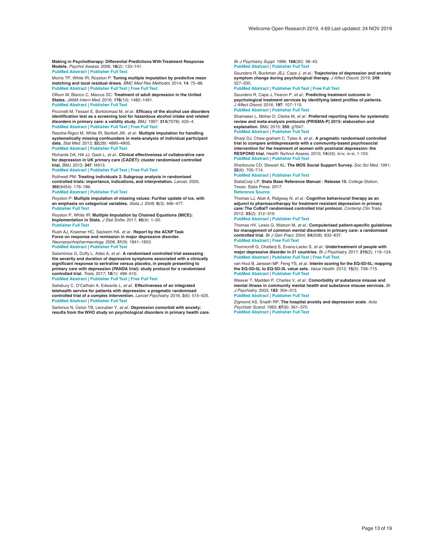<span id="page-12-0"></span>**Making in Psychotherapy: Differential Predictions With Treatment Response Models.** *Psychol Assess.* 2006; **18**(2): 133–141. **PubMed [Abstract](http://www.ncbi.nlm.nih.gov/pubmed/16768589)** | **[Publisher](http://dx.doi.org/10.1037/1040-3590.18.2.133) Full Text**

Morris TP, White IR, Royston P: **Tuning multiple imputation by predictive mean** matching and local residual draws. *BMC Med Res Methodol.* 2014; 14: 75–88.<br>PubMed [Abstract](http://www.ncbi.nlm.nih.gov/pubmed/24903709) | [Publisher](http://dx.doi.org/10.1186/1471-2288-14-75) Full Text | [Free](http://www.ncbi.nlm.nih.gov/pmc/articles/4051964) Full Text

Olfson M, Blanco C, Marcus SC: **Treatment of adult depression in the United States.** *JAMA Intern Med.* 2016; **176**(10): 1482–1491. **PubMed [Abstract](http://www.ncbi.nlm.nih.gov/pubmed/27571438)** | **[Publisher](http://dx.doi.org/10.1001/jamainternmed.2016.5057) Full Text**

Piccinelli M, Tessari E, Bortolomasi M, *et al.*: **Efficacy of the alcohol use disorders identification test as a screening tool for hazardous alcohol intake and related disorders in primary care: a validity study.** *BMJ.* 1997; **314**(7078): 420–4. **PubMed [Abstract](http://www.ncbi.nlm.nih.gov/pubmed/9040389)** | **[Publisher](http://dx.doi.org/10.1136/bmj.314.7078.420) Full Text** | **[Free](http://www.ncbi.nlm.nih.gov/pmc/articles/2125904) Full Text**

Resche-Rigon M, White IR, Bartlett JW, *et al.*: **Multiple imputation for handling**<br>**systematically missing confounders in meta-analysis of individual participant data.** *Stat Med.* 2013; **32**(28): 4890–4905. **PubMed [Abstract](http://www.ncbi.nlm.nih.gov/pubmed/23857554)** | **[Publisher](http://dx.doi.org/10.1002/sim.5894) Full Text**

Richards DA, Hill JJ, Gask L, *et al.*: **Clinical effectiveness of collaborative care for depression in UK primary care (CADET): cluster randomised controlled trial.** *BMJ.* 2013; **347**: f4913.

**PubMed [Abstract](http://www.ncbi.nlm.nih.gov/pubmed/23959152)** | **[Publisher](http://dx.doi.org/10.1136/bmj.f4913) Full Text** | **[Free](http://www.ncbi.nlm.nih.gov/pmc/articles/3746956) Full Text**

Rothwell PM: **Treating individuals 2. Subgroup analysis in randomised controlled trials: importance, indications, and interpretation.** *Lancet.* 2005; **365**(9454): 176–186.

#### **PubMed [Abstract](http://www.ncbi.nlm.nih.gov/pubmed/15639301)** | **[Publisher](http://dx.doi.org/10.1016/S0140-6736(05)17709-5) Full Text**

Royston P: Multiple imputation of missing values: Further update of ice, with<br>an emphasis on categorical variables. *Stata J.* 2009; 9(3): 466–477. **[Publisher](http://dx.doi.org/10.1177/1536867X0900900308) Full Text**

Royston P, White IR: **Multiple Imputation by Chained Equations (MICE): Implementation in Stata.** *J Stat Softw.* 2011; **45**(4): 1–20. **[Publisher](http://dx.doi.org/10.18637/jss.v045.i04) Full Text**

Rush AJ, Kraemer HC, Sackeim HA, *et al.*: **Report by the ACNP Task Force on response and remission in major depressive disorder.** *Neuropsychopharmacology.* 2006; **31**(9): 1841–1853. **PubMed [Abstract](http://www.ncbi.nlm.nih.gov/pubmed/16794566)** | **[Publisher](http://dx.doi.org/10.1038/sj.npp.1301131) Full Text**

Salaminios G, Duffy L, Ades A, *et al.*: **A randomised controlled trial assessing the severity and duration of depressive symptoms associated with a clinically significant response to sertraline versus placebo, in people presenting to primary care with depression (PANDA trial): study protocol for a randomised controlled trial.** *Trials.* 2017; **18**(1): 496–510.

**PubMed [Abstract](http://www.ncbi.nlm.nih.gov/pubmed/29065916)** | **[Publisher](http://dx.doi.org/10.1186/s13063-017-2253-4) Full Text** | **[Free](http://www.ncbi.nlm.nih.gov/pmc/articles/5655852) Full Text**

Salisbury C, O'Cathain A, Edwards L, *et al.*: **Effectiveness of an integrated telehealth service for patients with depression: a pragmatic randomised controlled trial of a complex intervention.** *Lancet Psychiatry.* 2016; **3**(6): 515–525. **PubMed [Abstract](http://www.ncbi.nlm.nih.gov/pubmed/27132075)** | **[Publisher](http://dx.doi.org/10.1016/S2215-0366(16)00083-3) Full Text**

Sartorius N, Üstün TB, Lecrubier Y, *et al.*: **Depression comorbid with anxiety: results from the WHO study on psychological disorders in primary health care.** *Br J Psychiatry Suppl.* 1996; **168**(30): 38–43. **PubMed [Abstract](http://www.ncbi.nlm.nih.gov/pubmed/8864147)** | **[Publisher](http://dx.doi.org/10.1192/S0007125000298395) Full Text**

Saunders R, Buckman JEJ, Cape J, *et al.*: **Trajectories of depression and anxiety symptom change during psychological therapy.** *J Affect Disord.* 2019; **249**: 327–335.

**PubMed [Abstract](http://www.ncbi.nlm.nih.gov/pubmed/30802698)** | **[Publisher](http://dx.doi.org/10.1016/j.jad.2019.02.043) Full Text** | **[Free](http://www.ncbi.nlm.nih.gov/pmc/articles/6428692) Full Text**

Saunders R, Cape J, Fearon P, *et al.*: **Predicting treatment outcome in psychological treatment services by identifying latent profiles of patients.** *J Affect Disord.* 2016; **197**: 107–115.

#### **PubMed [Abstract](http://www.ncbi.nlm.nih.gov/pubmed/26991365)** | **[Publisher](http://dx.doi.org/10.1016/j.jad.2016.03.011) Full Text**

Shamseer L, Moher D, Clarke M, *et al.*: **Preferred reporting items for systematic review and meta-analysis protocols (PRISMA-P) 2015: elaboration and explanation.** *BMJ.* 2015; **350**: g7647.

#### **PubMed [Abstract](http://www.ncbi.nlm.nih.gov/pubmed/25555855)** | **[Publisher](http://dx.doi.org/10.1136/bmj.g7647) Full Text**

Sharp DJ, Chew-graham C, Tylee A, *et al.*: **A pragmatic randomised controlled trial to compare antidepressants with a community-based psychosocial intervention for the treatment of women with postnatal depression: the RESPOND trial.** *Health Technol Assess.* 2010; **14**(43): iii-iv, ix-xi, 1-153. **PubMed [Abstract](http://www.ncbi.nlm.nih.gov/pubmed/20860888)** | **[Publisher](http://dx.doi.org/10.3310/hta14430) Full Text**

Sherboune CD, Stewart AL: **The MOS Social Support Survey.** *Soc Sci Med.* 1991; **32**(6): 705–714.

**PubMed [Abstract](http://www.ncbi.nlm.nih.gov/pubmed/2035047)** | **[Publisher](http://dx.doi.org/10.1016/0277-9536(91)90150-B) Full Text**

StataCorp LP: **Stata Base Reference Manual - Release 15.** College Station, Texas: Stata Press. 2017.

**[Reference](http://www.stata.com/manuals13/r.pdf) Source**

Thomas LJ, Abel A, Ridgway N, *et al.*: **Cognitive behavioural therapy as an**<br>adjunct to pharmacotherapy for treatment resistant depression in primary **care:The CoBalT randomised controlled trial protocol.** *Contemp Clin Trials.* 2012; **33**(2): 312–319.

#### **PubMed [Abstract](http://www.ncbi.nlm.nih.gov/pubmed/22101205)** | **[Publisher](http://dx.doi.org/10.1016/j.cct.2011.10.016) Full Text**

Thomas HV, Lewis G, Watson M, *et al.*: **Computerised patient-specific guidelines for management of common mental disorders in primary care: a randomised controlled trial.** *Br J Gen Pract.* 2004; **54**(508): 832–837. **PubMed [Abstract](http://www.ncbi.nlm.nih.gov/pubmed/15527609)** | **[Free](http://www.ncbi.nlm.nih.gov/pmc/articles/1324916) Full Text**

Thornicroft G, Chatterji S, Evans-Lacko S, *et al.*: **Undertreatment of people with**<br>**major depressive disorder in 21 countries.** Br J Psychiatry. 2017; 210(2): 119–124. **PubMed [Abstract](http://www.ncbi.nlm.nih.gov/pubmed/27908899)** | **[Publisher](http://dx.doi.org/10.1192/bjp.bp.116.188078) Full Text** | **[Free](http://www.ncbi.nlm.nih.gov/pmc/articles/5288082) Full Text**

van Hout B, Janssen MF, Feng YS, *et al.*: **Interim scoring for the EQ-5D-5L: mapping the EQ-5D-5L to EQ-5D-3L value sets.** *Value Health.* 2012; **15**(5): 708–715. **PubMed [Abstract](http://www.ncbi.nlm.nih.gov/pubmed/22867780)** | **[Publisher](http://dx.doi.org/10.1016/j.jval.2012.02.008) Full Text**

Weaver T, Madden P, Charles V, *et al.*: **Comorbidity of substance misuse and mental illness in community mental health and substance misuse services.** *Br J Psychiatry.* 2003; **183**: 304–313. **PubMed [Abstract](http://www.ncbi.nlm.nih.gov/pubmed/14519608)** | **[Publisher](http://dx.doi.org/10.1192/bjp.183.4.304) Full Text**

Zigmond AS, Snaith RP: **The hospital anxiety and depression scale.** *Acta Psychiatr Scand.* 1983; **67**(6): 361–370. **PubMed [Abstract](http://www.ncbi.nlm.nih.gov/pubmed/6880820)** | **[Publisher](http://dx.doi.org/10.1111/j.1600-0447.1983.tb09716.x) Full Text**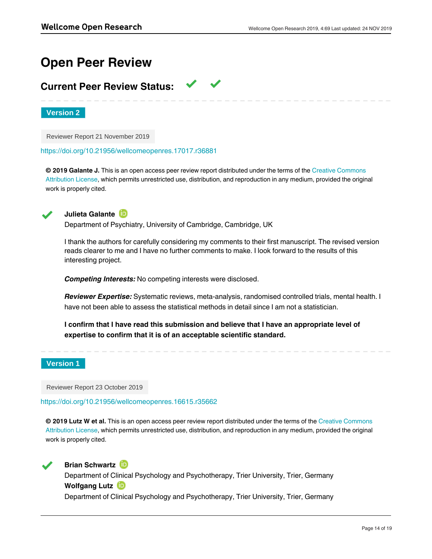# **Open Peer Review**

# **Current Peer Review Status:**

**Version 2**

Reviewer Report 21 November 2019

<https://doi.org/10.21956/wellcomeopenres.17017.r36881>

**© 2019 Galante J.** This is an open access peer review report distributed under the terms of the [Creative Commons](https://creativecommons.org/licenses/by/4.0/) [Attribution License](https://creativecommons.org/licenses/by/4.0/), which permits unrestricted use, distribution, and reproduction in any medium, provided the original work is properly cited.



**Julieta Galante**

Department of Psychiatry, University of Cambridge, Cambridge, UK

I thank the authors for carefully considering my comments to their first manuscript. The revised version reads clearer to me and I have no further comments to make. I look forward to the results of this interesting project.

*Competing Interests:* No competing interests were disclosed.

*Reviewer Expertise:* Systematic reviews, meta-analysis, randomised controlled trials, mental health. I have not been able to assess the statistical methods in detail since I am not a statistician.

**I confirm that I have read this submission and believe that I have an appropriate level of expertise to confirm that it is of an acceptable scientific standard.**

# **Version 1**

Reviewer Report 23 October 2019

<https://doi.org/10.21956/wellcomeopenres.16615.r35662>

**© 2019 Lutz W et al.** This is an open access peer review report distributed under the terms of the [Creative Commons](https://creativecommons.org/licenses/by/4.0/) [Attribution License](https://creativecommons.org/licenses/by/4.0/), which permits unrestricted use, distribution, and reproduction in any medium, provided the original work is properly cited.



**Brian Schwartz ID** 

Department of Clinical Psychology and Psychotherapy, Trier University, Trier, Germany **Wolfgang Lutz**

Department of Clinical Psychology and Psychotherapy, Trier University, Trier, Germany

This manuscript proposes a set of meta-analyses of individual patient data examining prognostic factors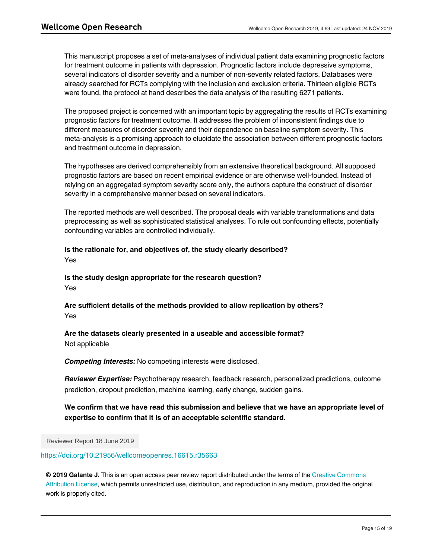This manuscript proposes a set of meta-analyses of individual patient data examining prognostic factors for treatment outcome in patients with depression. Prognostic factors include depressive symptoms, several indicators of disorder severity and a number of non-severity related factors. Databases were already searched for RCTs complying with the inclusion and exclusion criteria. Thirteen eligible RCTs were found, the protocol at hand describes the data analysis of the resulting 6271 patients.

The proposed project is concerned with an important topic by aggregating the results of RCTs examining prognostic factors for treatment outcome. It addresses the problem of inconsistent findings due to different measures of disorder severity and their dependence on baseline symptom severity. This meta-analysis is a promising approach to elucidate the association between different prognostic factors and treatment outcome in depression.

The hypotheses are derived comprehensibly from an extensive theoretical background. All supposed prognostic factors are based on recent empirical evidence or are otherwise well-founded. Instead of relying on an aggregated symptom severity score only, the authors capture the construct of disorder severity in a comprehensive manner based on several indicators.

The reported methods are well described. The proposal deals with variable transformations and data preprocessing as well as sophisticated statistical analyses. To rule out confounding effects, potentially confounding variables are controlled individually.

# **Is the rationale for, and objectives of, the study clearly described?**

Yes

**Is the study design appropriate for the research question?** Yes

**Are sufficient details of the methods provided to allow replication by others?** Yes

# **Are the datasets clearly presented in a useable and accessible format?** Not applicable

*Competing Interests:* No competing interests were disclosed.

*Reviewer Expertise:* Psychotherapy research, feedback research, personalized predictions, outcome prediction, dropout prediction, machine learning, early change, sudden gains.

# **We confirm that we have read this submission and believe that we have an appropriate level of expertise to confirm that it is of an acceptable scientific standard.**

Reviewer Report 18 June 2019

<https://doi.org/10.21956/wellcomeopenres.16615.r35663>

**© 2019 Galante J.** This is an open access peer review report distributed under the terms of the [Creative Commons](https://creativecommons.org/licenses/by/4.0/) [Attribution License](https://creativecommons.org/licenses/by/4.0/), which permits unrestricted use, distribution, and reproduction in any medium, provided the original work is properly cited.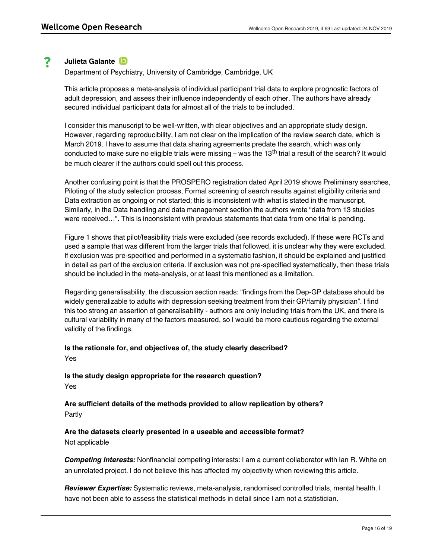#### ? **Julieta Galante**

Department of Psychiatry, University of Cambridge, Cambridge, UK

This article proposes a meta-analysis of individual participant trial data to explore prognostic factors of adult depression, and assess their influence independently of each other. The authors have already secured individual participant data for almost all of the trials to be included.

I consider this manuscript to be well-written, with clear objectives and an appropriate study design. However, regarding reproducibility, I am not clear on the implication of the review search date, which is March 2019. I have to assume that data sharing agreements predate the search, which was only conducted to make sure no eligible trials were missing – was the 13<sup>th</sup> trial a result of the search? It would be much clearer if the authors could spell out this process.

Another confusing point is that the PROSPERO registration dated April 2019 shows Preliminary searches, Piloting of the study selection process, Formal screening of search results against eligibility criteria and Data extraction as ongoing or not started; this is inconsistent with what is stated in the manuscript. Similarly, in the Data handling and data management section the authors wrote "data from 13 studies were received…". This is inconsistent with previous statements that data from one trial is pending.

Figure 1 shows that pilot/feasibility trials were excluded (see records excluded). If these were RCTs and used a sample that was different from the larger trials that followed, it is unclear why they were excluded. If exclusion was pre-specified and performed in a systematic fashion, it should be explained and justified in detail as part of the exclusion criteria. If exclusion was not pre-specified systematically, then these trials should be included in the meta-analysis, or at least this mentioned as a limitation.

Regarding generalisability, the discussion section reads: "findings from the Dep-GP database should be widely generalizable to adults with depression seeking treatment from their GP/family physician". I find this too strong an assertion of generalisability - authors are only including trials from the UK, and there is cultural variability in many of the factors measured, so I would be more cautious regarding the external validity of the findings.

# **Is the rationale for, and objectives of, the study clearly described?** Yes

**Is the study design appropriate for the research question?** Yes

**Are sufficient details of the methods provided to allow replication by others?** Partly

**Are the datasets clearly presented in a useable and accessible format?** Not applicable

*Competing Interests:* Nonfinancial competing interests: I am a current collaborator with Ian R. White on an unrelated project. I do not believe this has affected my objectivity when reviewing this article.

*Reviewer Expertise:* Systematic reviews, meta-analysis, randomised controlled trials, mental health. I have not been able to assess the statistical methods in detail since I am not a statistician.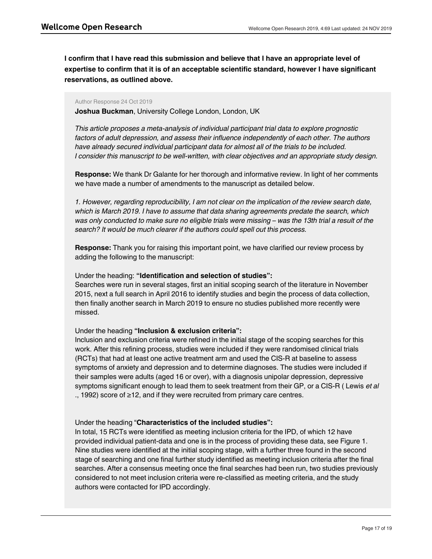**I confirm that I have read this submission and believe that I have an appropriate level of expertise to confirm that it is of an acceptable scientific standard, however I have significant reservations, as outlined above.**

## Author Response 24 Oct 2019

**Joshua Buckman**, University College London, London, UK

*This article proposes a meta-analysis of individual participant trial data to explore prognostic factors of adult depression, and assess their influence independently of each other. The authors have already secured individual participant data for almost all of the trials to be included. I consider this manuscript to be well-written, with clear objectives and an appropriate study design.*

**Response:** We thank Dr Galante for her thorough and informative review. In light of her comments we have made a number of amendments to the manuscript as detailed below.

*1. However, regarding reproducibility, I am not clear on the implication of the review search date, which is March 2019. I have to assume that data sharing agreements predate the search, which was only conducted to make sure no eligible trials were missing – was the 13th trial a result of the search? It would be much clearer if the authors could spell out this process.*

**Response:** Thank you for raising this important point, we have clarified our review process by adding the following to the manuscript:

# Under the heading: **"Identification and selection of studies":**

Searches were run in several stages, first an initial scoping search of the literature in November 2015, next a full search in April 2016 to identify studies and begin the process of data collection, then finally another search in March 2019 to ensure no studies published more recently were missed.

# Under the heading **"Inclusion & exclusion criteria":**

Inclusion and exclusion criteria were refined in the initial stage of the scoping searches for this work. After this refining process, studies were included if they were randomised clinical trials (RCTs) that had at least one active treatment arm and used the CIS-R at baseline to assess symptoms of anxiety and depression and to determine diagnoses. The studies were included if their samples were adults (aged 16 or over), with a diagnosis unipolar depression, depressive symptoms significant enough to lead them to seek treatment from their GP, or a CIS-R ( Lewis *et al* ., 1992) score of ≥12, and if they were recruited from primary care centres.

# Under the heading "**Characteristics of the included studies":**

In total, 15 RCTs were identified as meeting inclusion criteria for the IPD, of which 12 have provided individual patient-data and one is in the process of providing these data, see Figure 1. Nine studies were identified at the initial scoping stage, with a further three found in the second stage of searching and one final further study identified as meeting inclusion criteria after the final searches. After a consensus meeting once the final searches had been run, two studies previously considered to not meet inclusion criteria were re-classified as meeting criteria, and the study authors were contacted for IPD accordingly.

*2. Another confusing point is that the PROSPERO registration dated April 2019 shows Preliminary*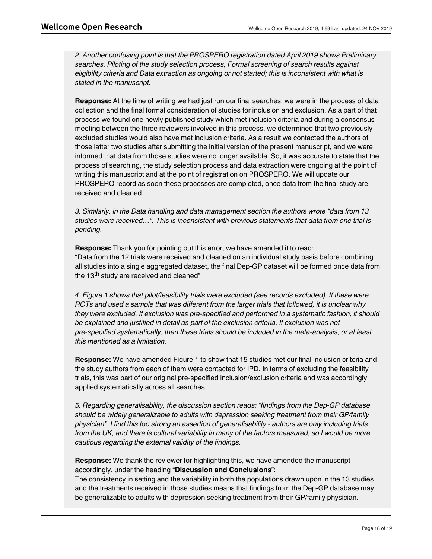*2. Another confusing point is that the PROSPERO registration dated April 2019 shows Preliminary searches, Piloting of the study selection process, Formal screening of search results against eligibility criteria and Data extraction as ongoing or not started; this is inconsistent with what is stated in the manuscript.*

**Response:** At the time of writing we had just run our final searches, we were in the process of data collection and the final formal consideration of studies for inclusion and exclusion. As a part of that process we found one newly published study which met inclusion criteria and during a consensus meeting between the three reviewers involved in this process, we determined that two previously excluded studies would also have met inclusion criteria. As a result we contacted the authors of those latter two studies after submitting the initial version of the present manuscript, and we were informed that data from those studies were no longer available. So, it was accurate to state that the process of searching, the study selection process and data extraction were ongoing at the point of writing this manuscript and at the point of registration on PROSPERO. We will update our PROSPERO record as soon these processes are completed, once data from the final study are received and cleaned.

*3. Similarly, in the Data handling and data management section the authors wrote "data from 13 studies were received…". This is inconsistent with previous statements that data from one trial is pending.*

**Response:** Thank you for pointing out this error, we have amended it to read: "Data from the 12 trials were received and cleaned on an individual study basis before combining all studies into a single aggregated dataset, the final Dep-GP dataset will be formed once data from the 13<sup>th</sup> study are received and cleaned"

*4. Figure 1 shows that pilot/feasibility trials were excluded (see records excluded). If these were RCTs and used a sample that was different from the larger trials that followed, it is unclear why they were excluded. If exclusion was pre-specified and performed in a systematic fashion, it should be explained and justified in detail as part of the exclusion criteria. If exclusion was not pre-specified systematically, then these trials should be included in the meta-analysis, or at least this mentioned as a limitation.*

**Response:** We have amended Figure 1 to show that 15 studies met our final inclusion criteria and the study authors from each of them were contacted for IPD. In terms of excluding the feasibility trials, this was part of our original pre-specified inclusion/exclusion criteria and was accordingly applied systematically across all searches.

*5. Regarding generalisability, the discussion section reads: "findings from the Dep-GP database should be widely generalizable to adults with depression seeking treatment from their GP/family physician". I find this too strong an assertion of generalisability - authors are only including trials from the UK, and there is cultural variability in many of the factors measured, so I would be more cautious regarding the external validity of the findings.*

**Response:** We thank the reviewer for highlighting this, we have amended the manuscript accordingly, under the heading "**Discussion and Conclusions**":

*Competing Interests:* No competing interests were disclosed.

The consistency in setting and the variability in both the populations drawn upon in the 13 studies and the treatments received in those studies means that findings from the Dep-GP database may be generalizable to adults with depression seeking treatment from their GP/family physician.